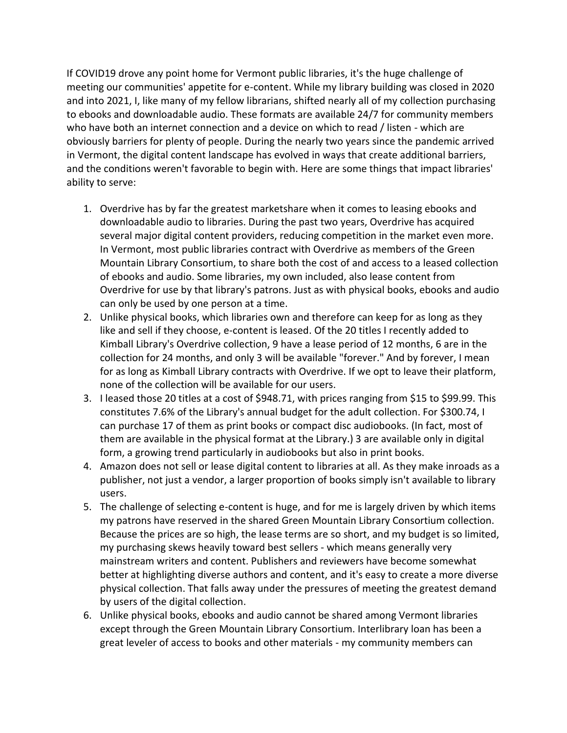If COVID19 drove any point home for Vermont public libraries, it's the huge challenge of meeting our communities' appetite for e-content. While my library building was closed in 2020 and into 2021, I, like many of my fellow librarians, shifted nearly all of my collection purchasing to ebooks and downloadable audio. These formats are available 24/7 for community members who have both an internet connection and a device on which to read / listen - which are obviously barriers for plenty of people. During the nearly two years since the pandemic arrived in Vermont, the digital content landscape has evolved in ways that create additional barriers, and the conditions weren't favorable to begin with. Here are some things that impact libraries' ability to serve:

- 1. Overdrive has by far the greatest marketshare when it comes to leasing ebooks and downloadable audio to libraries. During the past two years, Overdrive has acquired several major digital content providers, reducing competition in the market even more. In Vermont, most public libraries contract with Overdrive as members of the Green Mountain Library Consortium, to share both the cost of and access to a leased collection of ebooks and audio. Some libraries, my own included, also lease content from Overdrive for use by that library's patrons. Just as with physical books, ebooks and audio can only be used by one person at a time.
- 2. Unlike physical books, which libraries own and therefore can keep for as long as they like and sell if they choose, e-content is leased. Of the 20 titles I recently added to Kimball Library's Overdrive collection, 9 have a lease period of 12 months, 6 are in the collection for 24 months, and only 3 will be available "forever." And by forever, I mean for as long as Kimball Library contracts with Overdrive. If we opt to leave their platform, none of the collection will be available for our users.
- 3. I leased those 20 titles at a cost of \$948.71, with prices ranging from \$15 to \$99.99. This constitutes 7.6% of the Library's annual budget for the adult collection. For \$300.74, I can purchase 17 of them as print books or compact disc audiobooks. (In fact, most of them are available in the physical format at the Library.) 3 are available only in digital form, a growing trend particularly in audiobooks but also in print books.
- 4. Amazon does not sell or lease digital content to libraries at all. As they make inroads as a publisher, not just a vendor, a larger proportion of books simply isn't available to library users.
- 5. The challenge of selecting e-content is huge, and for me is largely driven by which items my patrons have reserved in the shared Green Mountain Library Consortium collection. Because the prices are so high, the lease terms are so short, and my budget is so limited, my purchasing skews heavily toward best sellers - which means generally very mainstream writers and content. Publishers and reviewers have become somewhat better at highlighting diverse authors and content, and it's easy to create a more diverse physical collection. That falls away under the pressures of meeting the greatest demand by users of the digital collection.
- 6. Unlike physical books, ebooks and audio cannot be shared among Vermont libraries except through the Green Mountain Library Consortium. Interlibrary loan has been a great leveler of access to books and other materials - my community members can